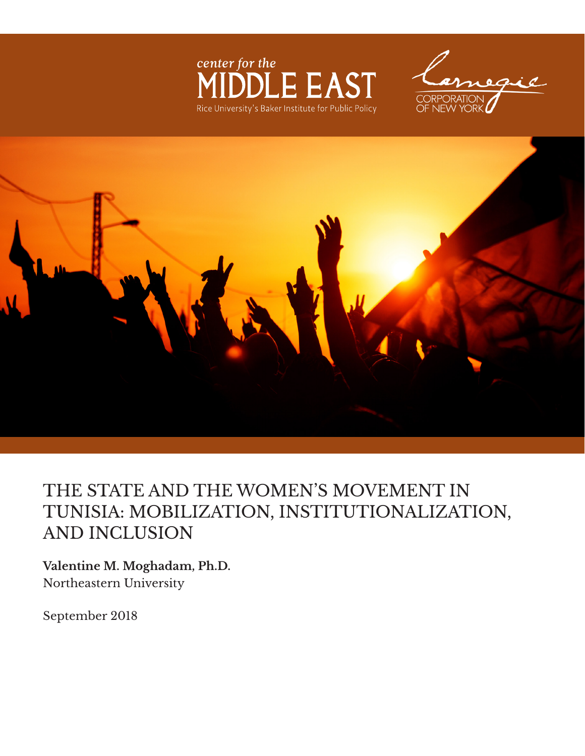





# THE STATE AND THE WOMEN'S MOVEMENT IN TUNISIA: MOBILIZATION, INSTITUTIONALIZATION, AND INCLUSION

**Valentine M. Moghadam, Ph.D.**  Northeastern University

September 2018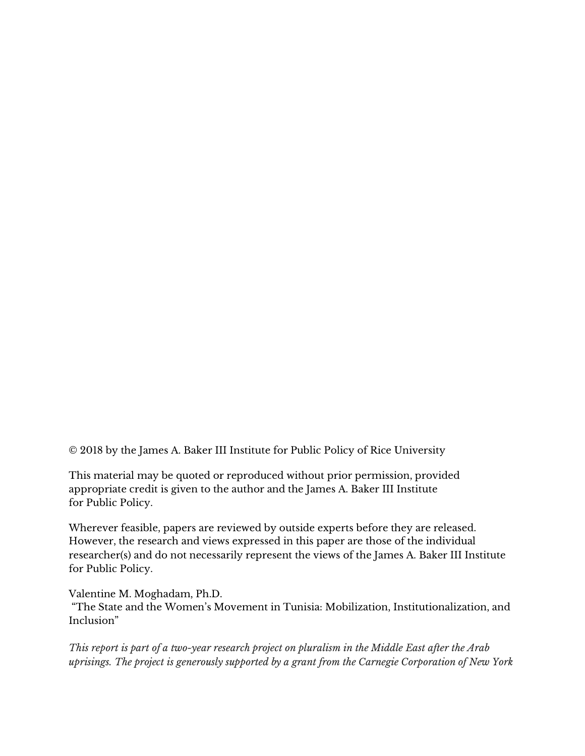© 2018 by the James A. Baker III Institute for Public Policy of Rice University

This material may be quoted or reproduced without prior permission, provided appropriate credit is given to the author and the James A. Baker III Institute for Public Policy.

Wherever feasible, papers are reviewed by outside experts before they are released. However, the research and views expressed in this paper are those of the individual researcher(s) and do not necessarily represent the views of the James A. Baker III Institute for Public Policy.

Valentine M. Moghadam, Ph.D.

"The State and the Women's Movement in Tunisia: Mobilization, Institutionalization, and Inclusion"

*This report is part of a two-year research project on pluralism in the Middle East after the Arab uprisings. The project is generously supported by a grant from the Carnegie Corporation of New York*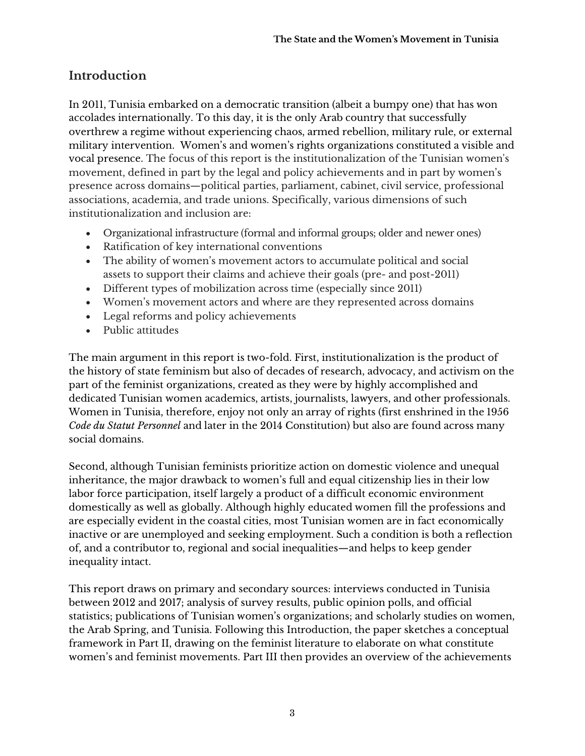## **Introduction**

In 2011, Tunisia embarked on a democratic transition (albeit a bumpy one) that has won accolades internationally. To this day, it is the only Arab country that successfully overthrew a regime without experiencing chaos, armed rebellion, military rule, or external military intervention. Women's and women's rights organizations constituted a visible and vocal presence. The focus of this report is the institutionalization of the Tunisian women's movement, defined in part by the legal and policy achievements and in part by women's presence across domains—political parties, parliament, cabinet, civil service, professional associations, academia, and trade unions. Specifically, various dimensions of such institutionalization and inclusion are:

- Organizational infrastructure (formal and informal groups; older and newer ones)
- Ratification of key international conventions
- The ability of women's movement actors to accumulate political and social assets to support their claims and achieve their goals (pre- and post-2011)
- Different types of mobilization across time (especially since 2011)
- Women's movement actors and where are they represented across domains
- Legal reforms and policy achievements
- Public attitudes

The main argument in this report is two-fold. First, institutionalization is the product of the history of state feminism but also of decades of research, advocacy, and activism on the part of the feminist organizations, created as they were by highly accomplished and dedicated Tunisian women academics, artists, journalists, lawyers, and other professionals. Women in Tunisia, therefore, enjoy not only an array of rights (first enshrined in the 1956 *Code du Statut Personnel* and later in the 2014 Constitution) but also are found across many social domains.

Second, although Tunisian feminists prioritize action on domestic violence and unequal inheritance, the major drawback to women's full and equal citizenship lies in their low labor force participation, itself largely a product of a difficult economic environment domestically as well as globally. Although highly educated women fill the professions and are especially evident in the coastal cities, most Tunisian women are in fact economically inactive or are unemployed and seeking employment. Such a condition is both a reflection of, and a contributor to, regional and social inequalities—and helps to keep gender inequality intact.

This report draws on primary and secondary sources: interviews conducted in Tunisia between 2012 and 2017; analysis of survey results, public opinion polls, and official statistics; publications of Tunisian women's organizations; and scholarly studies on women, the Arab Spring, and Tunisia. Following this Introduction, the paper sketches a conceptual framework in Part II, drawing on the feminist literature to elaborate on what constitute women's and feminist movements. Part III then provides an overview of the achievements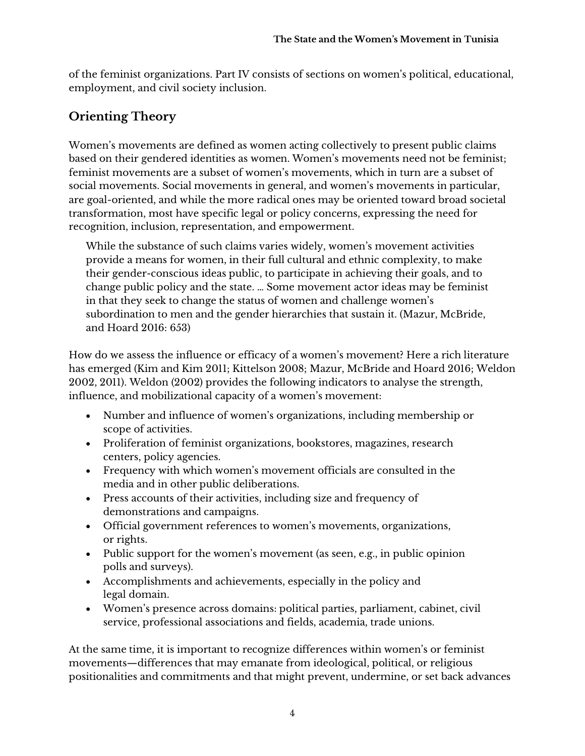of the feminist organizations. Part IV consists of sections on women's political, educational, employment, and civil society inclusion.

# **Orienting Theory**

Women's movements are defined as women acting collectively to present public claims based on their gendered identities as women. Women's movements need not be feminist; feminist movements are a subset of women's movements, which in turn are a subset of social movements. Social movements in general, and women's movements in particular, are goal-oriented, and while the more radical ones may be oriented toward broad societal transformation, most have specific legal or policy concerns, expressing the need for recognition, inclusion, representation, and empowerment.

While the substance of such claims varies widely, women's movement activities provide a means for women, in their full cultural and ethnic complexity, to make their gender-conscious ideas public, to participate in achieving their goals, and to change public policy and the state. … Some movement actor ideas may be feminist in that they seek to change the status of women and challenge women's subordination to men and the gender hierarchies that sustain it. (Mazur, McBride, and Hoard 2016: 653)

How do we assess the influence or efficacy of a women's movement? Here a rich literature has emerged (Kim and Kim 2011; Kittelson 2008; Mazur, McBride and Hoard 2016; Weldon 2002, 2011). Weldon (2002) provides the following indicators to analyse the strength, influence, and mobilizational capacity of a women's movement:

- Number and influence of women's organizations, including membership or scope of activities.
- Proliferation of feminist organizations, bookstores, magazines, research centers, policy agencies.
- Frequency with which women's movement officials are consulted in the media and in other public deliberations.
- Press accounts of their activities, including size and frequency of demonstrations and campaigns.
- Official government references to women's movements, organizations, or rights.
- Public support for the women's movement (as seen, e.g., in public opinion polls and surveys).
- Accomplishments and achievements, especially in the policy and legal domain.
- Women's presence across domains: political parties, parliament, cabinet, civil service, professional associations and fields, academia, trade unions.

At the same time, it is important to recognize differences within women's or feminist movements—differences that may emanate from ideological, political, or religious positionalities and commitments and that might prevent, undermine, or set back advances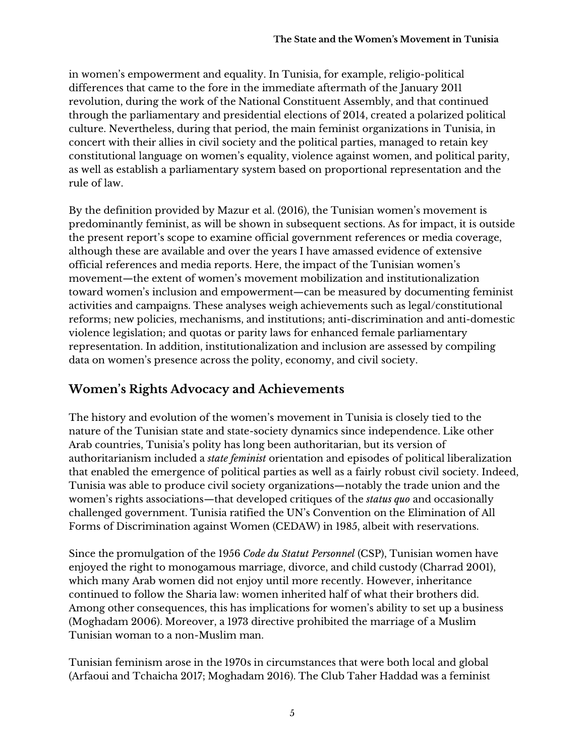in women's empowerment and equality. In Tunisia, for example, religio-political differences that came to the fore in the immediate aftermath of the January 2011 revolution, during the work of the National Constituent Assembly, and that continued through the parliamentary and presidential elections of 2014, created a polarized political culture. Nevertheless, during that period, the main feminist organizations in Tunisia, in concert with their allies in civil society and the political parties, managed to retain key constitutional language on women's equality, violence against women, and political parity, as well as establish a parliamentary system based on proportional representation and the rule of law.

By the definition provided by Mazur et al. (2016), the Tunisian women's movement is predominantly feminist, as will be shown in subsequent sections. As for impact, it is outside the present report's scope to examine official government references or media coverage, although these are available and over the years I have amassed evidence of extensive official references and media reports. Here, the impact of the Tunisian women's movement—the extent of women's movement mobilization and institutionalization toward women's inclusion and empowerment—can be measured by documenting feminist activities and campaigns. These analyses weigh achievements such as legal/constitutional reforms; new policies, mechanisms, and institutions; anti-discrimination and anti-domestic violence legislation; and quotas or parity laws for enhanced female parliamentary representation. In addition, institutionalization and inclusion are assessed by compiling data on women's presence across the polity, economy, and civil society.

# **Women's Rights Advocacy and Achievements**

The history and evolution of the women's movement in Tunisia is closely tied to the nature of the Tunisian state and state-society dynamics since independence. Like other Arab countries, Tunisia's polity has long been authoritarian, but its version of authoritarianism included a *state feminist* orientation and episodes of political liberalization that enabled the emergence of political parties as well as a fairly robust civil society. Indeed, Tunisia was able to produce civil society organizations—notably the trade union and the women's rights associations—that developed critiques of the *status quo* and occasionally challenged government. Tunisia ratified the UN's Convention on the Elimination of All Forms of Discrimination against Women (CEDAW) in 1985, albeit with reservations.

Since the promulgation of the 1956 *Code du Statut Personnel* (CSP), Tunisian women have enjoyed the right to monogamous marriage, divorce, and child custody (Charrad 2001), which many Arab women did not enjoy until more recently. However, inheritance continued to follow the Sharia law: women inherited half of what their brothers did. Among other consequences, this has implications for women's ability to set up a business (Moghadam 2006). Moreover, a 1973 directive prohibited the marriage of a Muslim Tunisian woman to a non-Muslim man.

Tunisian feminism arose in the 1970s in circumstances that were both local and global (Arfaoui and Tchaicha 2017; Moghadam 2016). The Club Taher Haddad was a feminist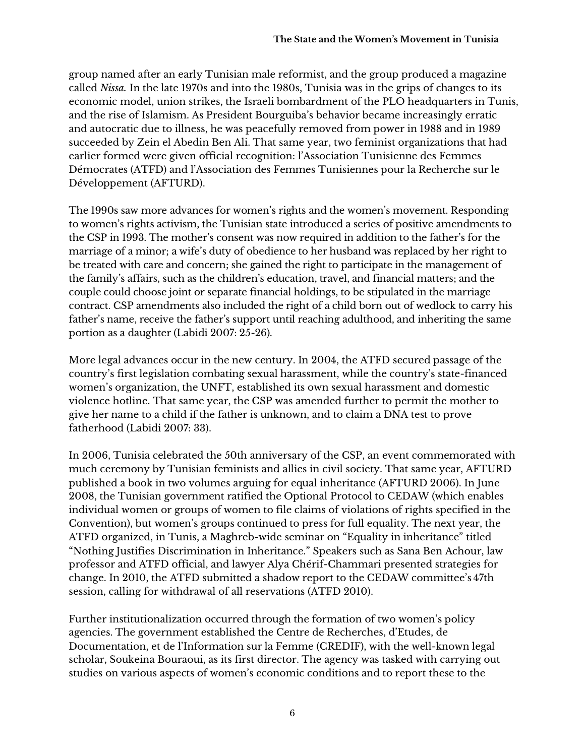group named after an early Tunisian male reformist, and the group produced a magazine called *Nissa.* In the late 1970s and into the 1980s, Tunisia was in the grips of changes to its economic model, union strikes, the Israeli bombardment of the PLO headquarters in Tunis, and the rise of Islamism. As President Bourguiba's behavior became increasingly erratic and autocratic due to illness, he was peacefully removed from power in 1988 and in 1989 succeeded by Zein el Abedin Ben Ali. That same year, two feminist organizations that had earlier formed were given official recognition: l'Association Tunisienne des Femmes Démocrates (ATFD) and l'Association des Femmes Tunisiennes pour la Recherche sur le Développement (AFTURD).

The 1990s saw more advances for women's rights and the women's movement. Responding to women's rights activism, the Tunisian state introduced a series of positive amendments to the CSP in 1993. The mother's consent was now required in addition to the father's for the marriage of a minor; a wife's duty of obedience to her husband was replaced by her right to be treated with care and concern; she gained the right to participate in the management of the family's affairs, such as the children's education, travel, and financial matters; and the couple could choose joint or separate financial holdings, to be stipulated in the marriage contract. CSP amendments also included the right of a child born out of wedlock to carry his father's name, receive the father's support until reaching adulthood, and inheriting the same portion as a daughter (Labidi 2007: 25-26).

More legal advances occur in the new century. In 2004, the ATFD secured passage of the country's first legislation combating sexual harassment, while the country's state-financed women's organization, the UNFT, established its own sexual harassment and domestic violence hotline. That same year, the CSP was amended further to permit the mother to give her name to a child if the father is unknown, and to claim a DNA test to prove fatherhood (Labidi 2007: 33).

In 2006, Tunisia celebrated the 50th anniversary of the CSP, an event commemorated with much ceremony by Tunisian feminists and allies in civil society. That same year, AFTURD published a book in two volumes arguing for equal inheritance (AFTURD 2006). In June 2008, the Tunisian government ratified the Optional Protocol to CEDAW (which enables individual women or groups of women to file claims of violations of rights specified in the Convention), but women's groups continued to press for full equality. The next year, the ATFD organized, in Tunis, a Maghreb-wide seminar on "Equality in inheritance" titled "Nothing Justifies Discrimination in Inheritance." Speakers such as Sana Ben Achour, law professor and ATFD official, and lawyer Alya Chérif-Chammari presented strategies for change. In 2010, the ATFD submitted a shadow report to the CEDAW committee's 47th session, calling for withdrawal of all reservations (ATFD 2010).

Further institutionalization occurred through the formation of two women's policy agencies. The government established the Centre de Recherches, d'Etudes, de Documentation, et de l'Information sur la Femme (CREDIF), with the well-known legal scholar, Soukeina Bouraoui, as its first director. The agency was tasked with carrying out studies on various aspects of women's economic conditions and to report these to the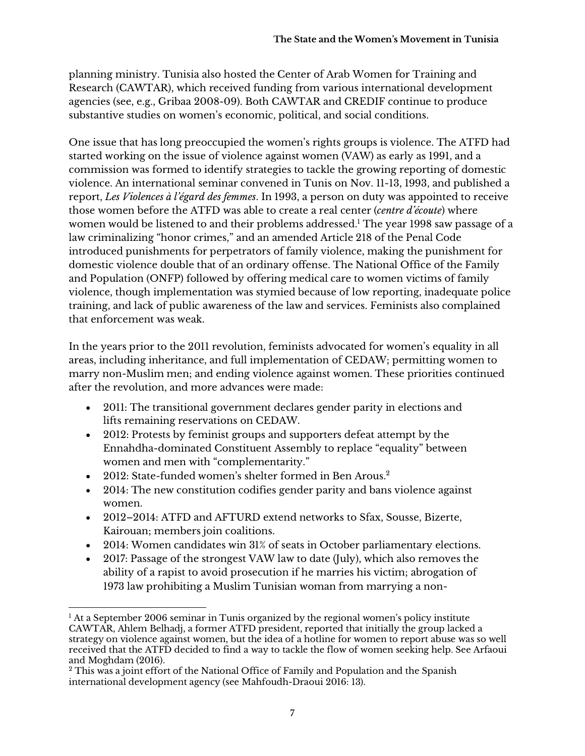planning ministry. Tunisia also hosted the Center of Arab Women for Training and Research (CAWTAR), which received funding from various international development agencies (see, e.g., Gribaa 2008-09). Both CAWTAR and CREDIF continue to produce substantive studies on women's economic, political, and social conditions.

One issue that has long preoccupied the women's rights groups is violence. The ATFD had started working on the issue of violence against women (VAW) as early as 1991, and a commission was formed to identify strategies to tackle the growing reporting of domestic violence. An international seminar convened in Tunis on Nov. 11-13, 1993, and published a report, *Les Violences à l'égard des femmes*. In 1993, a person on duty was appointed to receive those women before the ATFD was able to create a real center (*centre d'écoute*) where women would be listened to and their problems addressed.<sup>1</sup> The year 1998 saw passage of a law criminalizing "honor crimes," and an amended Article 218 of the Penal Code introduced punishments for perpetrators of family violence, making the punishment for domestic violence double that of an ordinary offense. The National Office of the Family and Population (ONFP) followed by offering medical care to women victims of family violence, though implementation was stymied because of low reporting, inadequate police training, and lack of public awareness of the law and services. Feminists also complained that enforcement was weak.

In the years prior to the 2011 revolution, feminists advocated for women's equality in all areas, including inheritance, and full implementation of CEDAW; permitting women to marry non-Muslim men; and ending violence against women. These priorities continued after the revolution, and more advances were made:

- 2011: The transitional government declares gender parity in elections and lifts remaining reservations on CEDAW.
- 2012: Protests by feminist groups and supporters defeat attempt by the Ennahdha-dominated Constituent Assembly to replace "equality" between women and men with "complementarity."
- 2012: State-funded women's shelter formed in Ben Arous.<sup>2</sup>
- 2014: The new constitution codifies gender parity and bans violence against women.
- 2012–2014: ATFD and AFTURD extend networks to Sfax, Sousse, Bizerte, Kairouan; members join coalitions.
- 2014: Women candidates win 31% of seats in October parliamentary elections.
- 2017: Passage of the strongest VAW law to date (July), which also removes the ability of a rapist to avoid prosecution if he marries his victim; abrogation of 1973 law prohibiting a Muslim Tunisian woman from marrying a non-

  $<sup>1</sup>$  At a September 2006 seminar in Tunis organized by the regional women's policy institute</sup> CAWTAR, Ahlem Belhadj, a former ATFD president, reported that initially the group lacked a strategy on violence against women, but the idea of a hotline for women to report abuse was so well received that the ATFD decided to find a way to tackle the flow of women seeking help. See Arfaoui and Moghdam (2016).

<sup>&</sup>lt;sup>2</sup> This was a joint effort of the National Office of Family and Population and the Spanish international development agency (see Mahfoudh-Draoui 2016: 13).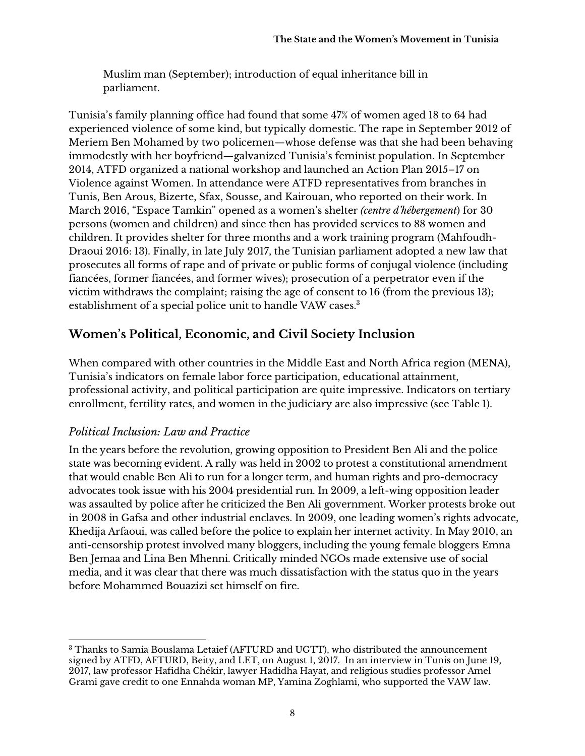Muslim man (September); introduction of equal inheritance bill in parliament.

Tunisia's family planning office had found that some 47% of women aged 18 to 64 had experienced violence of some kind, but typically domestic. The rape in September 2012 of Meriem Ben Mohamed by two policemen—whose defense was that she had been behaving immodestly with her boyfriend—galvanized Tunisia's feminist population. In September 2014, ATFD organized a national workshop and launched an Action Plan 2015–17 on Violence against Women. In attendance were ATFD representatives from branches in Tunis, Ben Arous, Bizerte, Sfax, Sousse, and Kairouan, who reported on their work. In March 2016, "Espace Tamkin" opened as a women's shelter *(centre d'hébergement*) for 30 persons (women and children) and since then has provided services to 88 women and children. It provides shelter for three months and a work training program (Mahfoudh-Draoui 2016: 13). Finally, in late July 2017, the Tunisian parliament adopted a new law that prosecutes all forms of rape and of private or public forms of conjugal violence (including fiancées, former fiancées, and former wives); prosecution of a perpetrator even if the victim withdraws the complaint; raising the age of consent to 16 (from the previous 13); establishment of a special police unit to handle VAW cases.<sup>3</sup>

## **Women's Political, Economic, and Civil Society Inclusion**

When compared with other countries in the Middle East and North Africa region (MENA), Tunisia's indicators on female labor force participation, educational attainment, professional activity, and political participation are quite impressive. Indicators on tertiary enrollment, fertility rates, and women in the judiciary are also impressive (see Table 1).

### *Political Inclusion: Law and Practice*

In the years before the revolution, growing opposition to President Ben Ali and the police state was becoming evident. A rally was held in 2002 to protest a constitutional amendment that would enable Ben Ali to run for a longer term, and human rights and pro-democracy advocates took issue with his 2004 presidential run. In 2009, a left-wing opposition leader was assaulted by police after he criticized the Ben Ali government. Worker protests broke out in 2008 in Gafsa and other industrial enclaves. In 2009, one leading women's rights advocate, Khedija Arfaoui, was called before the police to explain her internet activity. In May 2010, an anti-censorship protest involved many bloggers, including the young female bloggers Emna Ben Jemaa and Lina Ben Mhenni. Critically minded NGOs made extensive use of social media, and it was clear that there was much dissatisfaction with the status quo in the years before Mohammed Bouazizi set himself on fire.

 <sup>3</sup> Thanks to Samia Bouslama Letaief (AFTURD and UGTT), who distributed the announcement signed by ATFD, AFTURD, Beity, and LET, on August 1, 2017. In an interview in Tunis on June 19, 2017, law professor Hafidha Chékir, lawyer Hadidha Hayat, and religious studies professor Amel Grami gave credit to one Ennahda woman MP, Yamina Zoghlami, who supported the VAW law.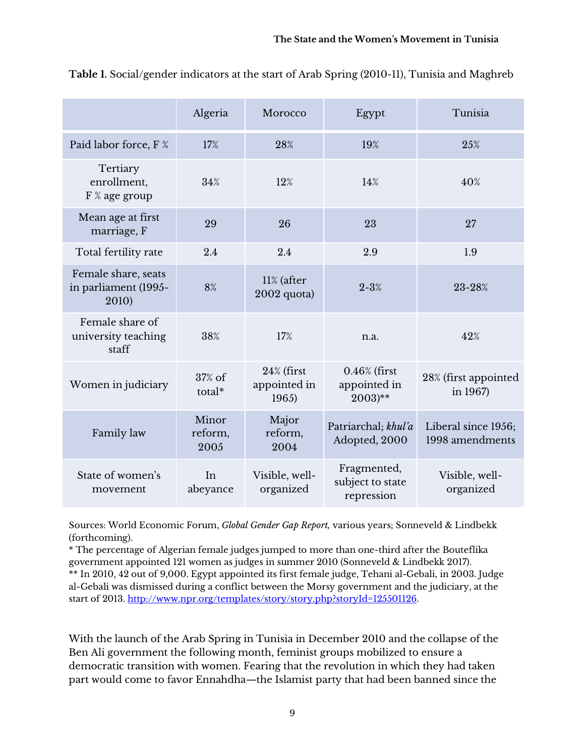|                                                      | Algeria                  | Morocco                                | Egypt                                                   | Tunisia                                |
|------------------------------------------------------|--------------------------|----------------------------------------|---------------------------------------------------------|----------------------------------------|
| Paid labor force, F %                                | 17%                      | 28%                                    | 19%                                                     | 25%                                    |
| Tertiary<br>enrollment,<br>F % age group             | 34%                      | 12%                                    | 14%                                                     | 40%                                    |
| Mean age at first<br>marriage, F                     | 29                       | 26                                     | 23                                                      | 27                                     |
| Total fertility rate                                 | 2.4                      | 2.4                                    | 2.9                                                     | 1.9                                    |
| Female share, seats<br>in parliament (1995-<br>2010) | 8%                       | $11\%$ (after<br>2002 quota)           | $2 - 3%$                                                | 23-28%                                 |
| Female share of<br>university teaching<br>staff      | 38%                      | 17%                                    | n.a.                                                    | 42%                                    |
| Women in judiciary                                   | 37% of<br>total*         | $24\%$ (first<br>appointed in<br>1965) | $0.46\%$ (first<br>appointed in<br>$2003$ <sup>**</sup> | 28% (first appointed<br>in 1967)       |
| Family law                                           | Minor<br>reform,<br>2005 | Major<br>reform,<br>2004               | Patriarchal; khul'a<br>Adopted, 2000                    | Liberal since 1956;<br>1998 amendments |
| State of women's<br>movement                         | In<br>abeyance           | Visible, well-<br>organized            | Fragmented,<br>subject to state<br>repression           | Visible, well-<br>organized            |

**Table 1.** Social/gender indicators at the start of Arab Spring (2010-11), Tunisia and Maghreb

Sources: World Economic Forum, *Global Gender Gap Report,* various years; Sonneveld & Lindbekk (forthcoming).

\* The percentage of Algerian female judges jumped to more than one-third after the Bouteflika government appointed 121 women as judges in summer 2010 (Sonneveld & Lindbekk 2017).

\*\* In 2010, 42 out of 9,000. Egypt appointed its first female judge, Tehani al-Gebali, in 2003. Judge al-Gebali was dismissed during a conflict between the Morsy government and the judiciary, at the start of 2013. http://www.npr.org/templates/story/story.php?storyId=125501126.

With the launch of the Arab Spring in Tunisia in December 2010 and the collapse of the Ben Ali government the following month, feminist groups mobilized to ensure a democratic transition with women. Fearing that the revolution in which they had taken part would come to favor Ennahdha—the Islamist party that had been banned since the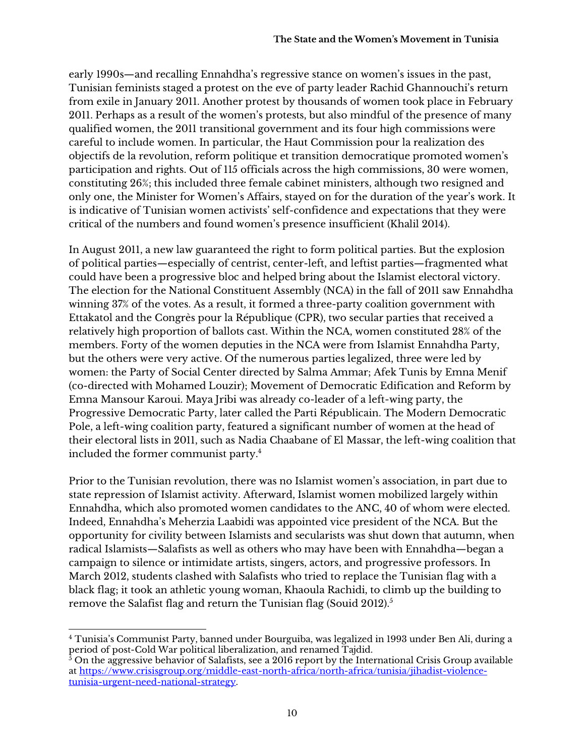early 1990s—and recalling Ennahdha's regressive stance on women's issues in the past, Tunisian feminists staged a protest on the eve of party leader Rachid Ghannouchi's return from exile in January 2011. Another protest by thousands of women took place in February 2011. Perhaps as a result of the women's protests, but also mindful of the presence of many qualified women, the 2011 transitional government and its four high commissions were careful to include women. In particular, the Haut Commission pour la realization des objectifs de la revolution, reform politique et transition democratique promoted women's participation and rights. Out of 115 officials across the high commissions, 30 were women, constituting 26%; this included three female cabinet ministers, although two resigned and only one, the Minister for Women's Affairs, stayed on for the duration of the year's work. It is indicative of Tunisian women activists' self-confidence and expectations that they were critical of the numbers and found women's presence insufficient (Khalil 2014).

In August 2011, a new law guaranteed the right to form political parties. But the explosion of political parties—especially of centrist, center-left, and leftist parties—fragmented what could have been a progressive bloc and helped bring about the Islamist electoral victory. The election for the National Constituent Assembly (NCA) in the fall of 2011 saw Ennahdha winning 37% of the votes. As a result, it formed a three-party coalition government with Ettakatol and the Congrès pour la République (CPR), two secular parties that received a relatively high proportion of ballots cast. Within the NCA, women constituted 28% of the members. Forty of the women deputies in the NCA were from Islamist Ennahdha Party, but the others were very active. Of the numerous parties legalized, three were led by women: the Party of Social Center directed by Salma Ammar; Afek Tunis by Emna Menif (co-directed with Mohamed Louzir); Movement of Democratic Edification and Reform by Emna Mansour Karoui. Maya Jribi was already co-leader of a left-wing party, the Progressive Democratic Party, later called the Parti Républicain. The Modern Democratic Pole, a left-wing coalition party, featured a significant number of women at the head of their electoral lists in 2011, such as Nadia Chaabane of El Massar, the left-wing coalition that included the former communist party.4

Prior to the Tunisian revolution, there was no Islamist women's association, in part due to state repression of Islamist activity. Afterward, Islamist women mobilized largely within Ennahdha, which also promoted women candidates to the ANC, 40 of whom were elected. Indeed, Ennahdha's Meherzia Laabidi was appointed vice president of the NCA. But the opportunity for civility between Islamists and secularists was shut down that autumn, when radical Islamists—Salafists as well as others who may have been with Ennahdha—began a campaign to silence or intimidate artists, singers, actors, and progressive professors. In March 2012, students clashed with Salafists who tried to replace the Tunisian flag with a black flag; it took an athletic young woman, Khaoula Rachidi, to climb up the building to remove the Salafist flag and return the Tunisian flag (Souid 2012).<sup>5</sup>

 <sup>4</sup> Tunisia's Communist Party, banned under Bourguiba, was legalized in 1993 under Ben Ali, during a period of post-Cold War political liberalization, and renamed Tajdid.

 $^5$  On the aggressive behavior of Salafists, see a 2016 report by the International Crisis Group available  $^5$ at https://www.crisisgroup.org/middle-east-north-africa/north-africa/tunisia/jihadist-violencetunisia-urgent-need-national-strategy.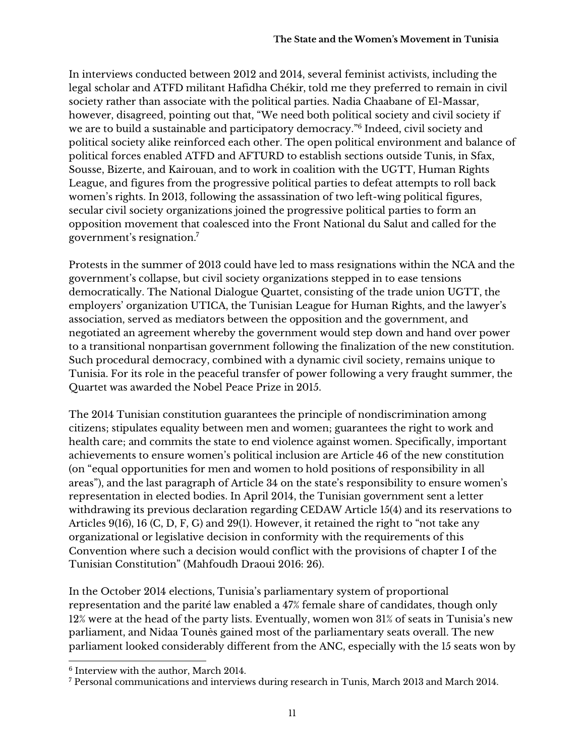In interviews conducted between 2012 and 2014, several feminist activists, including the legal scholar and ATFD militant Hafidha Chékir, told me they preferred to remain in civil society rather than associate with the political parties. Nadia Chaabane of El-Massar, however, disagreed, pointing out that, "We need both political society and civil society if we are to build a sustainable and participatory democracy."6 Indeed, civil society and political society alike reinforced each other. The open political environment and balance of political forces enabled ATFD and AFTURD to establish sections outside Tunis, in Sfax, Sousse, Bizerte, and Kairouan, and to work in coalition with the UGTT, Human Rights League, and figures from the progressive political parties to defeat attempts to roll back women's rights. In 2013, following the assassination of two left-wing political figures, secular civil society organizations joined the progressive political parties to form an opposition movement that coalesced into the Front National du Salut and called for the government's resignation.7

Protests in the summer of 2013 could have led to mass resignations within the NCA and the government's collapse, but civil society organizations stepped in to ease tensions democratically. The National Dialogue Quartet, consisting of the trade union UGTT, the employers' organization UTICA, the Tunisian League for Human Rights, and the lawyer's association, served as mediators between the opposition and the government, and negotiated an agreement whereby the government would step down and hand over power to a transitional nonpartisan government following the finalization of the new constitution. Such procedural democracy, combined with a dynamic civil society, remains unique to Tunisia. For its role in the peaceful transfer of power following a very fraught summer, the Quartet was awarded the Nobel Peace Prize in 2015.

The 2014 Tunisian constitution guarantees the principle of nondiscrimination among citizens; stipulates equality between men and women; guarantees the right to work and health care; and commits the state to end violence against women. Specifically, important achievements to ensure women's political inclusion are Article 46 of the new constitution (on "equal opportunities for men and women to hold positions of responsibility in all areas"), and the last paragraph of Article 34 on the state's responsibility to ensure women's representation in elected bodies. In April 2014, the Tunisian government sent a letter withdrawing its previous declaration regarding CEDAW Article 15(4) and its reservations to Articles 9(16), 16 (C, D, F, G) and 29(1). However, it retained the right to "not take any organizational or legislative decision in conformity with the requirements of this Convention where such a decision would conflict with the provisions of chapter I of the Tunisian Constitution" (Mahfoudh Draoui 2016: 26).

In the October 2014 elections, Tunisia's parliamentary system of proportional representation and the parité law enabled a 47% female share of candidates, though only 12% were at the head of the party lists. Eventually, women won 31% of seats in Tunisia's new parliament, and Nidaa Tounès gained most of the parliamentary seats overall. The new parliament looked considerably different from the ANC, especially with the 15 seats won by

 <sup>6</sup> Interview with the author, March 2014.

<sup>7</sup> Personal communications and interviews during research in Tunis, March 2013 and March 2014.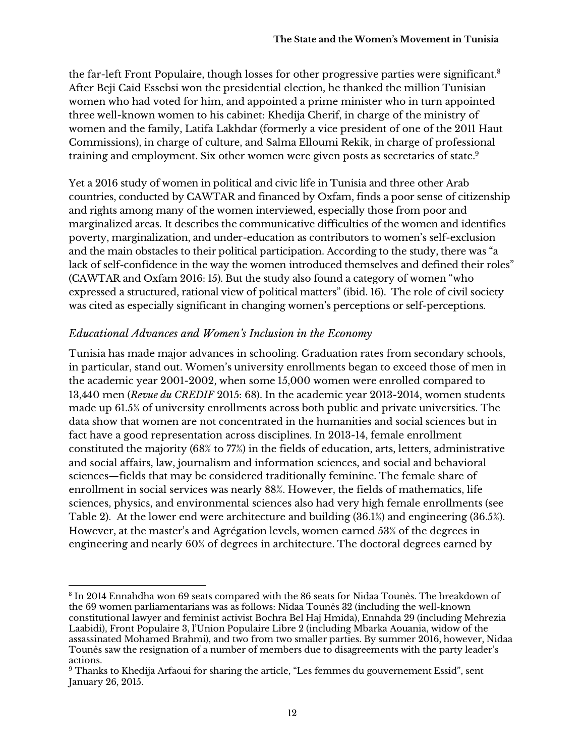the far-left Front Populaire, though losses for other progressive parties were significant.<sup>8</sup> After Beji Caid Essebsi won the presidential election, he thanked the million Tunisian women who had voted for him, and appointed a prime minister who in turn appointed three well-known women to his cabinet: Khedija Cherif, in charge of the ministry of women and the family, Latifa Lakhdar (formerly a vice president of one of the 2011 Haut Commissions), in charge of culture, and Salma Elloumi Rekik, in charge of professional training and employment. Six other women were given posts as secretaries of state.<sup>9</sup>

Yet a 2016 study of women in political and civic life in Tunisia and three other Arab countries, conducted by CAWTAR and financed by Oxfam, finds a poor sense of citizenship and rights among many of the women interviewed, especially those from poor and marginalized areas. It describes the communicative difficulties of the women and identifies poverty, marginalization, and under-education as contributors to women's self-exclusion and the main obstacles to their political participation. According to the study, there was "a lack of self-confidence in the way the women introduced themselves and defined their roles" (CAWTAR and Oxfam 2016: 15). But the study also found a category of women "who expressed a structured, rational view of political matters" (ibid. 16). The role of civil society was cited as especially significant in changing women's perceptions or self-perceptions.

#### *Educational Advances and Women's Inclusion in the Economy*

Tunisia has made major advances in schooling. Graduation rates from secondary schools, in particular, stand out. Women's university enrollments began to exceed those of men in the academic year 2001-2002, when some 15,000 women were enrolled compared to 13,440 men (*Revue du CREDIF* 2015: 68). In the academic year 2013-2014, women students made up 61.5% of university enrollments across both public and private universities. The data show that women are not concentrated in the humanities and social sciences but in fact have a good representation across disciplines. In 2013-14, female enrollment constituted the majority (68% to 77%) in the fields of education, arts, letters, administrative and social affairs, law, journalism and information sciences, and social and behavioral sciences—fields that may be considered traditionally feminine. The female share of enrollment in social services was nearly 88%. However, the fields of mathematics, life sciences, physics, and environmental sciences also had very high female enrollments (see Table 2). At the lower end were architecture and building (36.1%) and engineering (36.5%). However, at the master's and Agrégation levels, women earned 53% of the degrees in engineering and nearly 60% of degrees in architecture. The doctoral degrees earned by

 <sup>8</sup> In 2014 Ennahdha won 69 seats compared with the 86 seats for Nidaa Tounès. The breakdown of the 69 women parliamentarians was as follows: Nidaa Tounès 32 (including the well-known constitutional lawyer and feminist activist Bochra Bel Haj Hmida), Ennahda 29 (including Mehrezia Laabidi), Front Populaire 3, l'Union Populaire Libre 2 (including Mbarka Aouania, widow of the assassinated Mohamed Brahmi), and two from two smaller parties. By summer 2016, however, Nidaa Tounès saw the resignation of a number of members due to disagreements with the party leader's actions.

<sup>9</sup> Thanks to Khedija Arfaoui for sharing the article, "Les femmes du gouvernement Essid", sent January 26, 2015.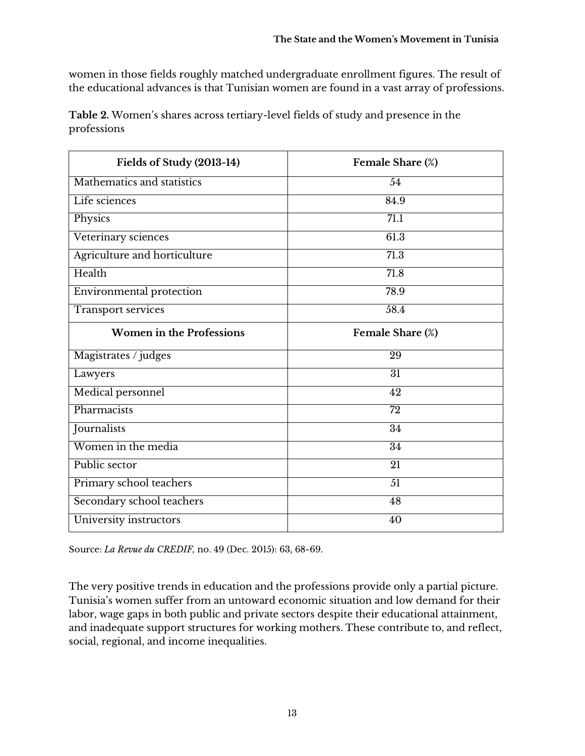women in those fields roughly matched undergraduate enrollment figures. The result of the educational advances is that Tunisian women are found in a vast array of professions.

**Table 2.** Women's shares across tertiary-level fields of study and presence in the professions

| Fields of Study (2013-14)       | Female Share (%)  |  |
|---------------------------------|-------------------|--|
| Mathematics and statistics      | 54                |  |
| Life sciences                   | 84.9              |  |
| Physics                         | 71.1              |  |
| Veterinary sciences             | 61.3              |  |
| Agriculture and horticulture    | $\overline{71.3}$ |  |
| Health                          | 71.8              |  |
| Environmental protection        | 78.9              |  |
| <b>Transport services</b>       | 58.4              |  |
| <b>Women in the Professions</b> | Female Share (%)  |  |
| Magistrates / judges            | 29                |  |
| Lawyers                         | $\overline{31}$   |  |
| Medical personnel               | $\overline{42}$   |  |
| Pharmacists                     | $\overline{72}$   |  |
| Journalists                     | $\overline{34}$   |  |
| Women in the media              | 34                |  |
| Public sector                   | $\overline{21}$   |  |
| Primary school teachers         | 51                |  |
| Secondary school teachers       | 48                |  |
| University instructors          | 40                |  |

Source: *La Revue du CREDIF,* no. 49 (Dec. 2015): 63, 68-69.

The very positive trends in education and the professions provide only a partial picture. Tunisia's women suffer from an untoward economic situation and low demand for their labor, wage gaps in both public and private sectors despite their educational attainment, and inadequate support structures for working mothers. These contribute to, and reflect, social, regional, and income inequalities.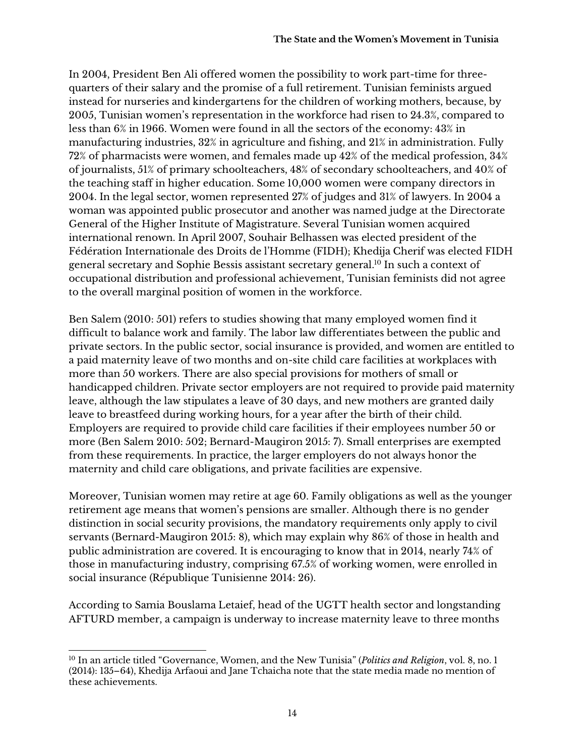In 2004, President Ben Ali offered women the possibility to work part-time for threequarters of their salary and the promise of a full retirement. Tunisian feminists argued instead for nurseries and kindergartens for the children of working mothers, because, by 2005, Tunisian women's representation in the workforce had risen to 24.3%, compared to less than 6% in 1966. Women were found in all the sectors of the economy: 43% in manufacturing industries, 32% in agriculture and fishing, and 21% in administration. Fully 72% of pharmacists were women, and females made up 42% of the medical profession, 34% of journalists, 51% of primary schoolteachers, 48% of secondary schoolteachers, and 40% of the teaching staff in higher education. Some 10,000 women were company directors in 2004. In the legal sector, women represented 27% of judges and 31% of lawyers. In 2004 a woman was appointed public prosecutor and another was named judge at the Directorate General of the Higher Institute of Magistrature. Several Tunisian women acquired international renown. In April 2007, Souhair Belhassen was elected president of the Fédération Internationale des Droits de l'Homme (FIDH); Khedija Cherif was elected FIDH general secretary and Sophie Bessis assistant secretary general.10 In such a context of occupational distribution and professional achievement, Tunisian feminists did not agree to the overall marginal position of women in the workforce.

Ben Salem (2010: 501) refers to studies showing that many employed women find it difficult to balance work and family. The labor law differentiates between the public and private sectors. In the public sector, social insurance is provided, and women are entitled to a paid maternity leave of two months and on-site child care facilities at workplaces with more than 50 workers. There are also special provisions for mothers of small or handicapped children. Private sector employers are not required to provide paid maternity leave, although the law stipulates a leave of 30 days, and new mothers are granted daily leave to breastfeed during working hours, for a year after the birth of their child. Employers are required to provide child care facilities if their employees number 50 or more (Ben Salem 2010: 502; Bernard-Maugiron 2015: 7). Small enterprises are exempted from these requirements. In practice, the larger employers do not always honor the maternity and child care obligations, and private facilities are expensive.

Moreover, Tunisian women may retire at age 60. Family obligations as well as the younger retirement age means that women's pensions are smaller. Although there is no gender distinction in social security provisions, the mandatory requirements only apply to civil servants (Bernard-Maugiron 2015: 8), which may explain why 86% of those in health and public administration are covered. It is encouraging to know that in 2014, nearly 74% of those in manufacturing industry, comprising 67.5% of working women, were enrolled in social insurance (République Tunisienne 2014: 26).

According to Samia Bouslama Letaief, head of the UGTT health sector and longstanding AFTURD member, a campaign is underway to increase maternity leave to three months

 <sup>10</sup> In an article titled "Governance, Women, and the New Tunisia" (*Politics and Religion*, vol. 8, no. 1 (2014): 135–64), Khedija Arfaoui and Jane Tchaicha note that the state media made no mention of these achievements.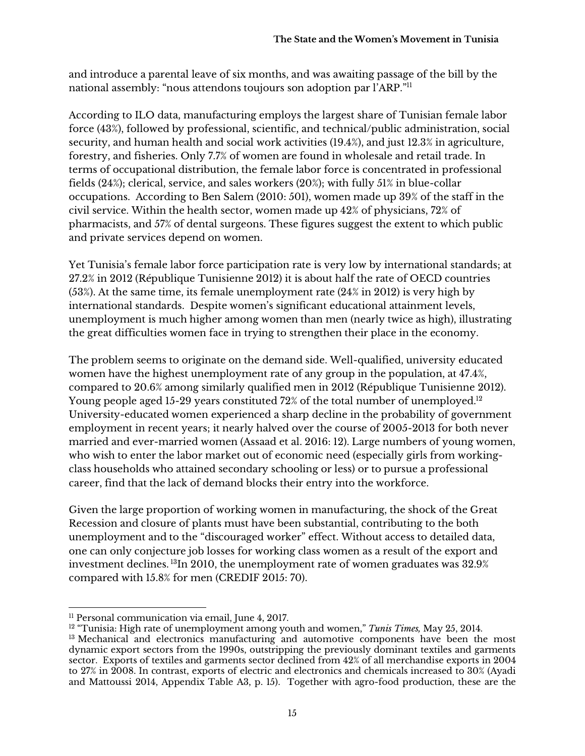and introduce a parental leave of six months, and was awaiting passage of the bill by the national assembly: "nous attendons toujours son adoption par l'ARP."11

According to ILO data, manufacturing employs the largest share of Tunisian female labor force (43%), followed by professional, scientific, and technical/public administration, social security, and human health and social work activities (19.4%), and just 12.3% in agriculture, forestry, and fisheries. Only 7.7% of women are found in wholesale and retail trade. In terms of occupational distribution, the female labor force is concentrated in professional fields (24%); clerical, service, and sales workers (20%); with fully 51% in blue-collar occupations. According to Ben Salem (2010: 501), women made up 39% of the staff in the civil service. Within the health sector, women made up 42% of physicians, 72% of pharmacists, and 57% of dental surgeons. These figures suggest the extent to which public and private services depend on women.

Yet Tunisia's female labor force participation rate is very low by international standards; at 27.2% in 2012 (République Tunisienne 2012) it is about half the rate of OECD countries (53%). At the same time, its female unemployment rate (24% in 2012) is very high by international standards. Despite women's significant educational attainment levels, unemployment is much higher among women than men (nearly twice as high), illustrating the great difficulties women face in trying to strengthen their place in the economy.

The problem seems to originate on the demand side. Well-qualified, university educated women have the highest unemployment rate of any group in the population, at 47.4%, compared to 20.6% among similarly qualified men in 2012 (République Tunisienne 2012). Young people aged 15-29 years constituted 72% of the total number of unemployed.<sup>12</sup> University-educated women experienced a sharp decline in the probability of government employment in recent years; it nearly halved over the course of 2005-2013 for both never married and ever-married women (Assaad et al. 2016: 12). Large numbers of young women, who wish to enter the labor market out of economic need (especially girls from workingclass households who attained secondary schooling or less) or to pursue a professional career, find that the lack of demand blocks their entry into the workforce.

Given the large proportion of working women in manufacturing, the shock of the Great Recession and closure of plants must have been substantial, contributing to the both unemployment and to the "discouraged worker" effect. Without access to detailed data, one can only conjecture job losses for working class women as a result of the export and investment declines. 13In 2010, the unemployment rate of women graduates was 32.9% compared with 15.8% for men (CREDIF 2015: 70).

 <sup>11</sup> Personal communication via email, June 4, 2017.

<sup>12</sup> "Tunisia: High rate of unemployment among youth and women," *Tunis Times,* May 25, 2014. <sup>13</sup> Mechanical and electronics manufacturing and automotive components have been the most dynamic export sectors from the 1990s, outstripping the previously dominant textiles and garments sector. Exports of textiles and garments sector declined from 42% of all merchandise exports in 2004 to 27% in 2008. In contrast, exports of electric and electronics and chemicals increased to 30% (Ayadi and Mattoussi 2014, Appendix Table A3, p. 15). Together with agro-food production, these are the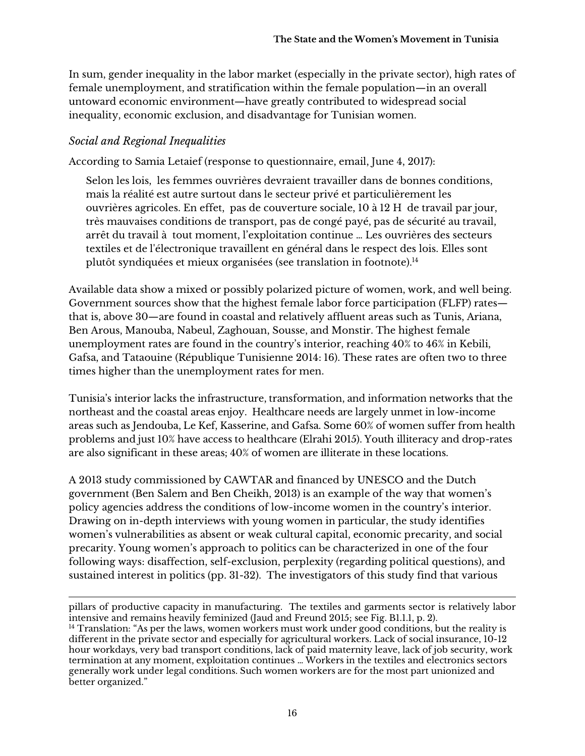In sum, gender inequality in the labor market (especially in the private sector), high rates of female unemployment, and stratification within the female population—in an overall untoward economic environment—have greatly contributed to widespread social inequality, economic exclusion, and disadvantage for Tunisian women.

#### *Social and Regional Inequalities*

According to Samia Letaief (response to questionnaire, email, June 4, 2017):

Selon les lois, les femmes ouvrières devraient travailler dans de bonnes conditions, mais la réalité est autre surtout dans le secteur privé et particulièrement les ouvrières agricoles. En effet, pas de couverture sociale, 10 à 12 H de travail par jour, très mauvaises conditions de transport, pas de congé payé, pas de sécurité au travail, arrêt du travail à tout moment, l'exploitation continue … Les ouvrières des secteurs textiles et de l'électronique travaillent en général dans le respect des lois. Elles sont plutôt syndiquées et mieux organisées (see translation in footnote).<sup>14</sup>

Available data show a mixed or possibly polarized picture of women, work, and well being. Government sources show that the highest female labor force participation (FLFP) rates that is, above 30—are found in coastal and relatively affluent areas such as Tunis, Ariana, Ben Arous, Manouba, Nabeul, Zaghouan, Sousse, and Monstir. The highest female unemployment rates are found in the country's interior, reaching 40% to 46% in Kebili, Gafsa, and Tataouine (République Tunisienne 2014: 16). These rates are often two to three times higher than the unemployment rates for men.

Tunisia's interior lacks the infrastructure, transformation, and information networks that the northeast and the coastal areas enjoy. Healthcare needs are largely unmet in low-income areas such as Jendouba, Le Kef, Kasserine, and Gafsa. Some 60% of women suffer from health problems and just 10% have access to healthcare (Elrahi 2015). Youth illiteracy and drop-rates are also significant in these areas; 40% of women are illiterate in these locations.

A 2013 study commissioned by CAWTAR and financed by UNESCO and the Dutch government (Ben Salem and Ben Cheikh, 2013) is an example of the way that women's policy agencies address the conditions of low-income women in the country's interior. Drawing on in-depth interviews with young women in particular, the study identifies women's vulnerabilities as absent or weak cultural capital, economic precarity, and social precarity. Young women's approach to politics can be characterized in one of the four following ways: disaffection, self-exclusion, perplexity (regarding political questions), and sustained interest in politics (pp. 31-32). The investigators of this study find that various

<u> 1989 - Andrea Santa Andrea Santa Andrea Santa Andrea Santa Andrea Santa Andrea Santa Andrea Santa Andrea San</u> pillars of productive capacity in manufacturing. The textiles and garments sector is relatively labor intensive and remains heavily feminized (Jaud and Freund 2015; see Fig. B1.1.1, p. 2). <sup>14</sup> Translation: "As per the laws, women workers must work under good conditions, but the reality is different in the private sector and especially for agricultural workers. Lack of social insurance, 10-12 hour workdays, very bad transport conditions, lack of paid maternity leave, lack of job security, work termination at any moment, exploitation continues … Workers in the textiles and electronics sectors generally work under legal conditions. Such women workers are for the most part unionized and better organized."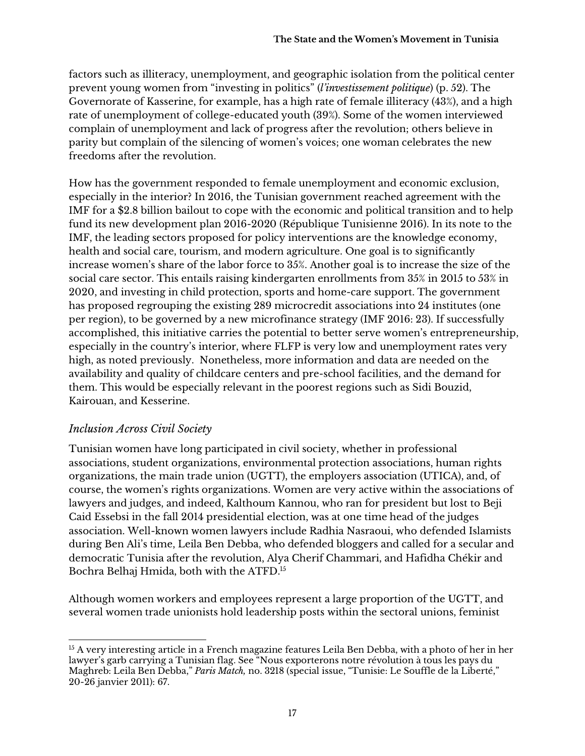factors such as illiteracy, unemployment, and geographic isolation from the political center prevent young women from "investing in politics" (*l'investissement politique*) (p. 52). The Governorate of Kasserine, for example, has a high rate of female illiteracy (43%), and a high rate of unemployment of college-educated youth (39%). Some of the women interviewed complain of unemployment and lack of progress after the revolution; others believe in parity but complain of the silencing of women's voices; one woman celebrates the new freedoms after the revolution.

How has the government responded to female unemployment and economic exclusion, especially in the interior? In 2016, the Tunisian government reached agreement with the IMF for a \$2.8 billion bailout to cope with the economic and political transition and to help fund its new development plan 2016-2020 (République Tunisienne 2016). In its note to the IMF, the leading sectors proposed for policy interventions are the knowledge economy, health and social care, tourism, and modern agriculture. One goal is to significantly increase women's share of the labor force to 35%. Another goal is to increase the size of the social care sector. This entails raising kindergarten enrollments from 35% in 2015 to 53% in 2020, and investing in child protection, sports and home-care support. The government has proposed regrouping the existing 289 microcredit associations into 24 institutes (one per region), to be governed by a new microfinance strategy (IMF 2016: 23). If successfully accomplished, this initiative carries the potential to better serve women's entrepreneurship, especially in the country's interior, where FLFP is very low and unemployment rates very high, as noted previously. Nonetheless, more information and data are needed on the availability and quality of childcare centers and pre-school facilities, and the demand for them. This would be especially relevant in the poorest regions such as Sidi Bouzid, Kairouan, and Kesserine.

#### *Inclusion Across Civil Society*

Tunisian women have long participated in civil society, whether in professional associations, student organizations, environmental protection associations, human rights organizations, the main trade union (UGTT), the employers association (UTICA), and, of course, the women's rights organizations. Women are very active within the associations of lawyers and judges, and indeed, Kalthoum Kannou, who ran for president but lost to Beji Caid Essebsi in the fall 2014 presidential election, was at one time head of the judges association. Well-known women lawyers include Radhia Nasraoui, who defended Islamists during Ben Ali's time, Leila Ben Debba, who defended bloggers and called for a secular and democratic Tunisia after the revolution, Alya Cherif Chammari, and Hafidha Chékir and Bochra Belhaj Hmida, both with the ATFD.15

Although women workers and employees represent a large proportion of the UGTT, and several women trade unionists hold leadership posts within the sectoral unions, feminist

 <sup>15</sup> A very interesting article in a French magazine features Leila Ben Debba, with a photo of her in her lawyer's garb carrying a Tunisian flag. See "Nous exporterons notre révolution à tous les pays du Maghreb: Leila Ben Debba," *Paris Match,* no. 3218 (special issue, "Tunisie: Le Souffle de la Liberté," 20-26 janvier 2011): 67.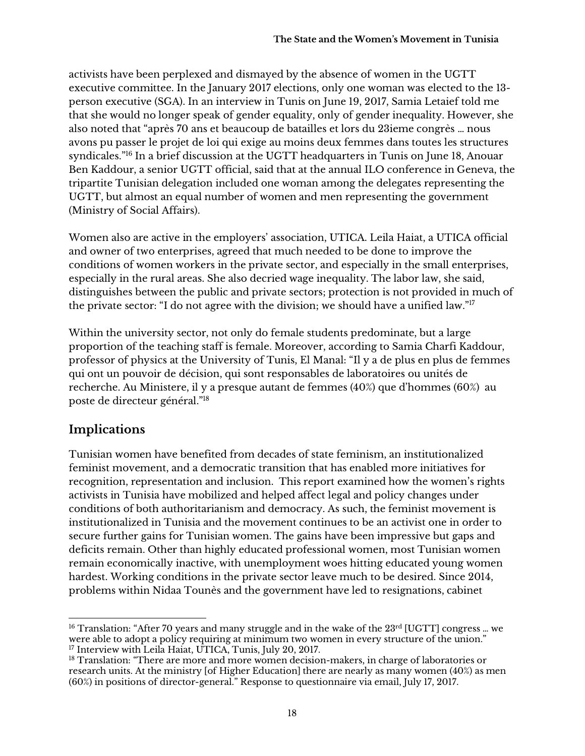activists have been perplexed and dismayed by the absence of women in the UGTT executive committee. In the January 2017 elections, only one woman was elected to the 13 person executive (SGA). In an interview in Tunis on June 19, 2017, Samia Letaief told me that she would no longer speak of gender equality, only of gender inequality. However, she also noted that "après 70 ans et beaucoup de batailles et lors du 23ieme congrès … nous avons pu passer le projet de loi qui exige au moins deux femmes dans toutes les structures syndicales."16 In a brief discussion at the UGTT headquarters in Tunis on June 18, Anouar Ben Kaddour, a senior UGTT official, said that at the annual ILO conference in Geneva, the tripartite Tunisian delegation included one woman among the delegates representing the UGTT, but almost an equal number of women and men representing the government (Ministry of Social Affairs).

Women also are active in the employers' association, UTICA. Leila Haiat, a UTICA official and owner of two enterprises, agreed that much needed to be done to improve the conditions of women workers in the private sector, and especially in the small enterprises, especially in the rural areas. She also decried wage inequality. The labor law, she said, distinguishes between the public and private sectors; protection is not provided in much of the private sector: "I do not agree with the division; we should have a unified law."17

Within the university sector, not only do female students predominate, but a large proportion of the teaching staff is female. Moreover, according to Samia Charfi Kaddour, professor of physics at the University of Tunis, El Manal: "Il y a de plus en plus de femmes qui ont un pouvoir de décision, qui sont responsables de laboratoires ou unités de recherche. Au Ministere, il y a presque autant de femmes (40%) que d'hommes (60%) au poste de directeur général."18

# **Implications**

Tunisian women have benefited from decades of state feminism, an institutionalized feminist movement, and a democratic transition that has enabled more initiatives for recognition, representation and inclusion. This report examined how the women's rights activists in Tunisia have mobilized and helped affect legal and policy changes under conditions of both authoritarianism and democracy. As such, the feminist movement is institutionalized in Tunisia and the movement continues to be an activist one in order to secure further gains for Tunisian women. The gains have been impressive but gaps and deficits remain. Other than highly educated professional women, most Tunisian women remain economically inactive, with unemployment woes hitting educated young women hardest. Working conditions in the private sector leave much to be desired. Since 2014, problems within Nidaa Tounès and the government have led to resignations, cabinet

 <sup>16</sup> Translation: "After 70 years and many struggle and in the wake of the 23<sup>rd</sup> [UGTT] congress ... we were able to adopt a policy requiring at minimum two women in every structure of the union." <sup>17</sup> Interview with Leila Haiat, UTICA, Tunis, July 20, 2017.

<sup>&</sup>lt;sup>18</sup> Translation: "There are more and more women decision-makers, in charge of laboratories or research units. At the ministry [of Higher Education] there are nearly as many women (40%) as men (60%) in positions of director-general." Response to questionnaire via email, July 17, 2017.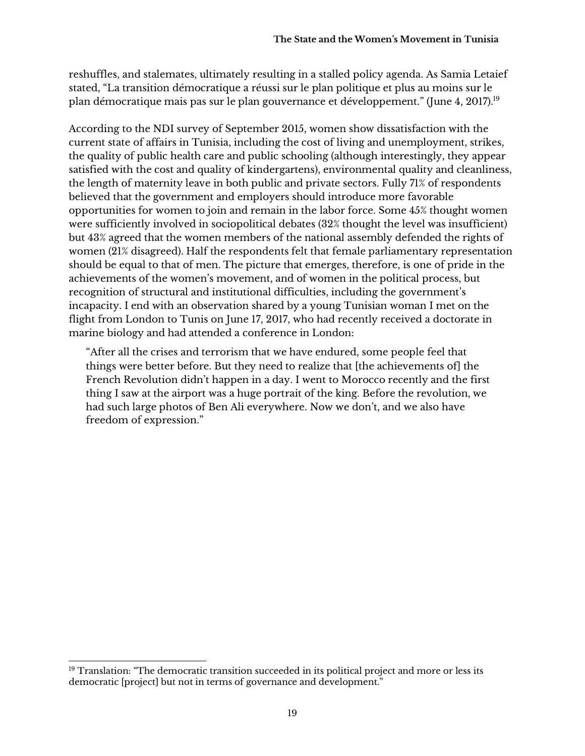reshuffles, and stalemates, ultimately resulting in a stalled policy agenda. As Samia Letaief stated, "La transition démocratique a réussi sur le plan politique et plus au moins sur le plan démocratique mais pas sur le plan gouvernance et développement." (June 4, 2017).19

According to the NDI survey of September 2015, women show dissatisfaction with the current state of affairs in Tunisia, including the cost of living and unemployment, strikes, the quality of public health care and public schooling (although interestingly, they appear satisfied with the cost and quality of kindergartens), environmental quality and cleanliness, the length of maternity leave in both public and private sectors. Fully 71% of respondents believed that the government and employers should introduce more favorable opportunities for women to join and remain in the labor force. Some 45% thought women were sufficiently involved in sociopolitical debates (32% thought the level was insufficient) but 43% agreed that the women members of the national assembly defended the rights of women (21% disagreed). Half the respondents felt that female parliamentary representation should be equal to that of men. The picture that emerges, therefore, is one of pride in the achievements of the women's movement, and of women in the political process, but recognition of structural and institutional difficulties, including the government's incapacity. I end with an observation shared by a young Tunisian woman I met on the flight from London to Tunis on June 17, 2017, who had recently received a doctorate in marine biology and had attended a conference in London:

"After all the crises and terrorism that we have endured, some people feel that things were better before. But they need to realize that [the achievements of] the French Revolution didn't happen in a day. I went to Morocco recently and the first thing I saw at the airport was a huge portrait of the king. Before the revolution, we had such large photos of Ben Ali everywhere. Now we don't, and we also have freedom of expression."

 <sup>19</sup> Translation: "The democratic transition succeeded in its political project and more or less its democratic [project] but not in terms of governance and development."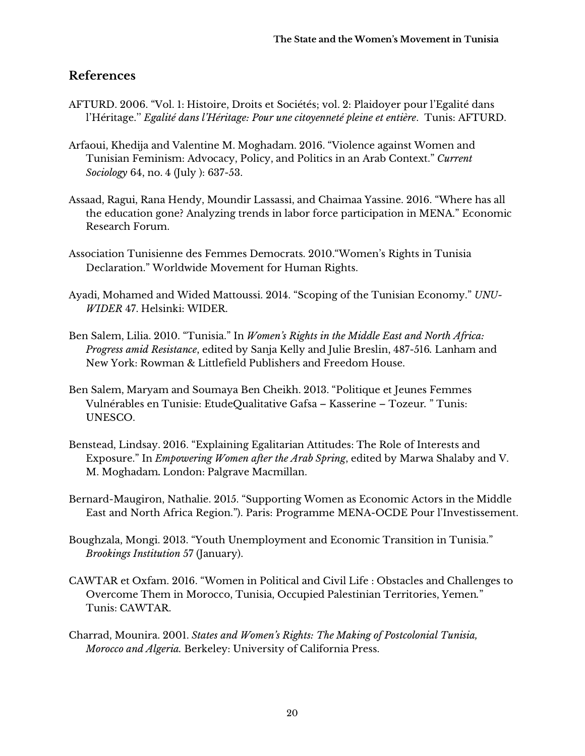#### **References**

- AFTURD. 2006. "Vol. 1: Histoire, Droits et Sociétés; vol. 2: Plaidoyer pour l'Egalité dans l'Héritage.'' *Egalité dans l'Héritage: Pour une citoyenneté pleine et entière*. Tunis: AFTURD.
- Arfaoui, Khedija and Valentine M. Moghadam. 2016. "Violence against Women and Tunisian Feminism: Advocacy, Policy, and Politics in an Arab Context." *Current Sociology* 64, no. 4 (July ): 637-53.
- Assaad, Ragui, Rana Hendy, Moundir Lassassi, and Chaimaa Yassine. 2016. "Where has all the education gone? Analyzing trends in labor force participation in MENA." Economic Research Forum.
- Association Tunisienne des Femmes Democrats. 2010."Women's Rights in Tunisia Declaration." Worldwide Movement for Human Rights.
- Ayadi, Mohamed and Wided Mattoussi. 2014. "Scoping of the Tunisian Economy." *UNU-WIDER* 47. Helsinki: WIDER.
- Ben Salem, Lilia. 2010. "Tunisia." In *Women's Rights in the Middle East and North Africa: Progress amid Resistance*, edited by Sanja Kelly and Julie Breslin, 487-516*.* Lanham and New York: Rowman & Littlefield Publishers and Freedom House.
- Ben Salem, Maryam and Soumaya Ben Cheikh. 2013. "Politique et Jeunes Femmes Vulnérables en Tunisie: EtudeQualitative Gafsa – Kasserine – Tozeur*.* " Tunis: UNESCO.
- Benstead, Lindsay. 2016. "Explaining Egalitarian Attitudes: The Role of Interests and Exposure." In *Empowering Women after the Arab Spring*, edited by Marwa Shalaby and V. M. Moghadam**.** London: Palgrave Macmillan.
- Bernard-Maugiron, Nathalie. 2015. "Supporting Women as Economic Actors in the Middle East and North Africa Region."). Paris: Programme MENA-OCDE Pour l'Investissement.
- Boughzala, Mongi. 2013. "Youth Unemployment and Economic Transition in Tunisia." *Brookings Institution* 57 (January).
- CAWTAR et Oxfam. 2016. "Women in Political and Civil Life : Obstacles and Challenges to Overcome Them in Morocco, Tunisia, Occupied Palestinian Territories, Yemen*.*" Tunis: CAWTAR.
- Charrad, Mounira. 2001. *States and Women's Rights: The Making of Postcolonial Tunisia, Morocco and Algeria.* Berkeley: University of California Press.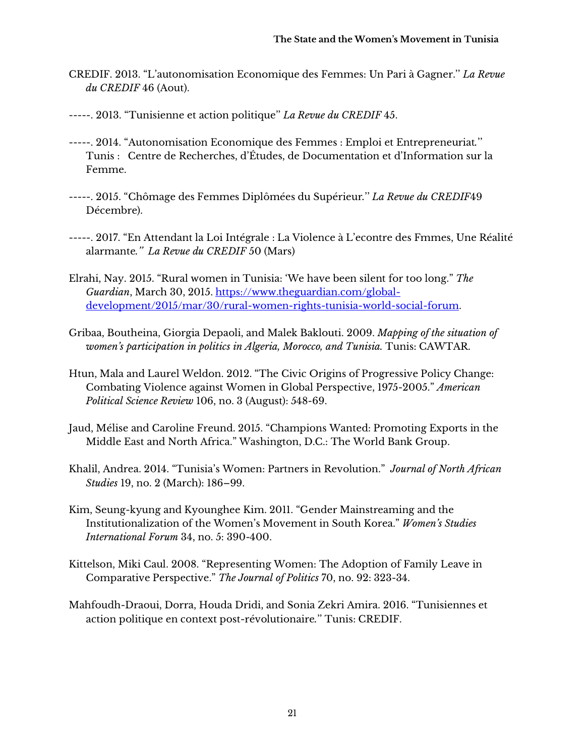- CREDIF. 2013. "L'autonomisation Economique des Femmes: Un Pari à Gagner.'' *La Revue du CREDIF* 46 (Aout).
- -----. 2013. "Tunisienne et action politique'' *La Revue du CREDIF* 45.
- -----. 2014. "Autonomisation Economique des Femmes : Emploi et Entrepreneuriat*.*'' Tunis : Centre de Recherches, d'Études, de Documentation et d'Information sur la Femme.
- -----. 2015. "Chômage des Femmes Diplômées du Supérieur*.*'' *La Revue du CREDIF*49 Décembre).
- -----. 2017. "En Attendant la Loi Intégrale : La Violence à L'econtre des Fmmes, Une Réalité alarmante*.'' La Revue du CREDIF* 50 (Mars)
- Elrahi, Nay. 2015. "Rural women in Tunisia: 'We have been silent for too long." *The Guardian*, March 30, 2015. https://www.theguardian.com/globaldevelopment/2015/mar/30/rural-women-rights-tunisia-world-social-forum.
- Gribaa, Boutheina, Giorgia Depaoli, and Malek Baklouti. 2009. *Mapping of the situation of women's participation in politics in Algeria, Morocco, and Tunisia.* Tunis: CAWTAR.
- Htun, Mala and Laurel Weldon. 2012. "The Civic Origins of Progressive Policy Change: Combating Violence against Women in Global Perspective, 1975-2005." *American Political Science Review* 106, no. 3 (August): 548-69.
- Jaud, Mélise and Caroline Freund. 2015. "Champions Wanted: Promoting Exports in the Middle East and North Africa." Washington, D.C.: The World Bank Group.
- Khalil, Andrea. 2014. "Tunisia's Women: Partners in Revolution." *Journal of North African Studies* 19, no. 2 (March): 186–99.
- Kim, Seung-kyung and Kyounghee Kim. 2011. "Gender Mainstreaming and the Institutionalization of the Women's Movement in South Korea." *Women's Studies International Forum* 34, no. 5: 390-400.
- Kittelson, Miki Caul. 2008. "Representing Women: The Adoption of Family Leave in Comparative Perspective." *The Journal of Politics* 70, no. 92: 323-34.
- Mahfoudh-Draoui, Dorra, Houda Dridi, and Sonia Zekri Amira. 2016. "Tunisiennes et action politique en context post-révolutionaire*.*'' Tunis: CREDIF.